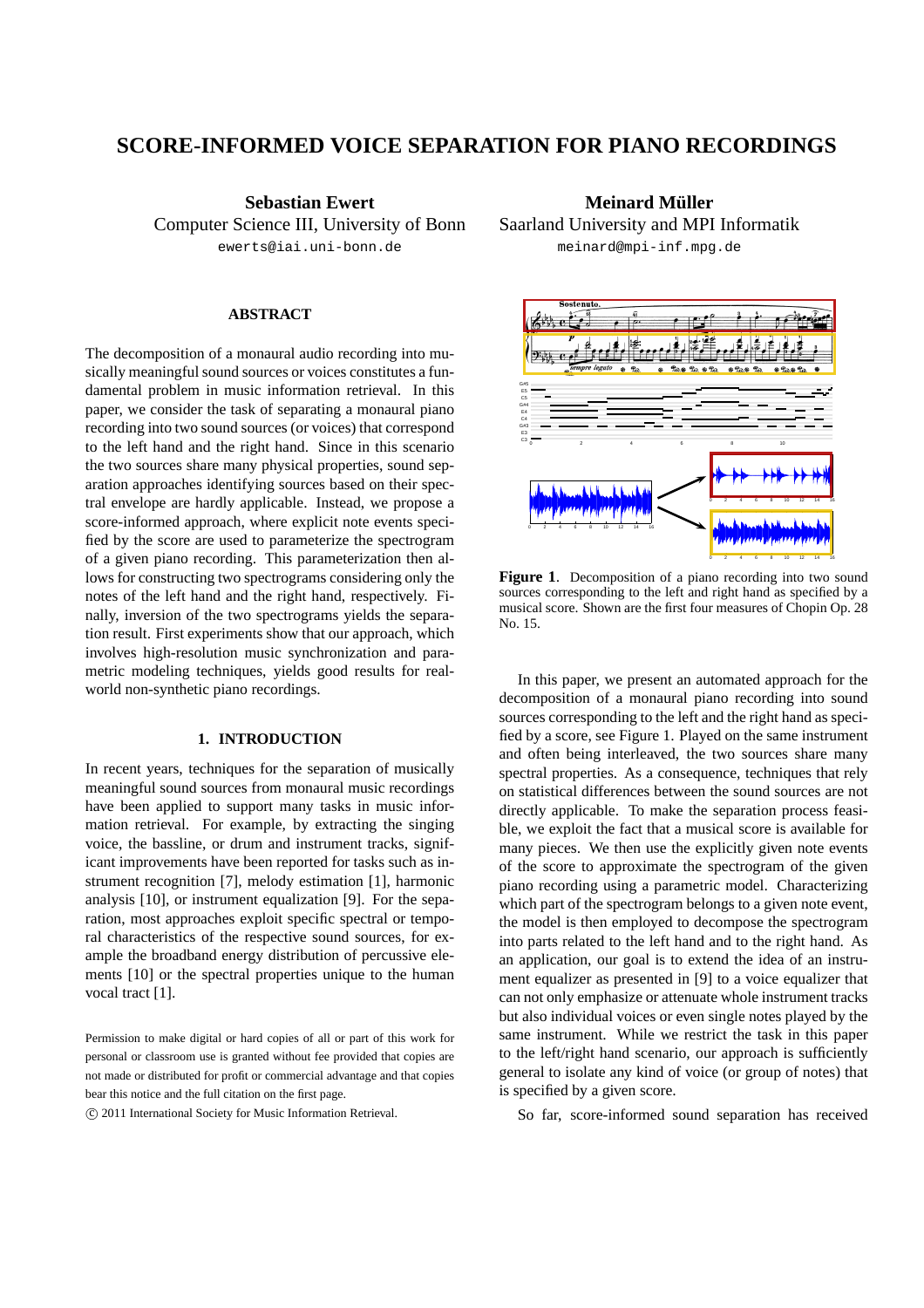# **SCORE-INFORMED VOICE SEPARATION FOR PIANO RECORDINGS**

**Sebastian Ewert** Computer Science III, University of Bonn ewerts@iai.uni-bonn.de

## **ABSTRACT**

The decomposition of a monaural audio recording into musically meaningful sound sources or voices constitutes a fundamental problem in music information retrieval. In this paper, we consider the task of separating a monaural piano recording into two sound sources (or voices) that correspond to the left hand and the right hand. Since in this scenario the two sources share many physical properties, sound separation approaches identifying sources based on their spectral envelope are hardly applicable. Instead, we propose a score-informed approach, where explicit note events specified by the score are used to parameterize the spectrogram of a given piano recording. This parameterization then allows for constructing two spectrograms considering only the notes of the left hand and the right hand, respectively. Finally, inversion of the two spectrograms yields the separation result. First experiments show that our approach, which involves high-resolution music synchronization and parametric modeling techniques, yields good results for realworld non-synthetic piano recordings.

## **1. INTRODUCTION**

In recent years, techniques for the separation of musically meaningful sound sources from monaural music recordings have been applied to support many tasks in music information retrieval. For example, by extracting the singing voice, the bassline, or drum and instrument tracks, significant improvements have been reported for tasks such as instrument recognition [7], melody estimation [1], harmonic analysis [10], or instrument equalization [9]. For the separation, most approaches exploit specific spectral or temporal characteristics of the respective sound sources, for example the broadband energy distribution of percussive elements [10] or the spectral properties unique to the human vocal tract [1].

Permission to make digital or hard copies of all or part of this work for personal or classroom use is granted without fee provided that copies are not made or distributed for profit or commercial advantage and that copies bear this notice and the full citation on the first page.

c 2011 International Society for Music Information Retrieval.

**Meinard Muller ¨** Saarland University and MPI Informatik meinard@mpi-inf.mpg.de



**Figure 1**. Decomposition of a piano recording into two sound sources corresponding to the left and right hand as specified by a musical score. Shown are the first four measures of Chopin Op. 28 No. 15.

In this paper, we present an automated approach for the decomposition of a monaural piano recording into sound sources corresponding to the left and the right hand as specified by a score, see Figure 1. Played on the same instrument and often being interleaved, the two sources share many spectral properties. As a consequence, techniques that rely on statistical differences between the sound sources are not directly applicable. To make the separation process feasible, we exploit the fact that a musical score is available for many pieces. We then use the explicitly given note events of the score to approximate the spectrogram of the given piano recording using a parametric model. Characterizing which part of the spectrogram belongs to a given note event, the model is then employed to decompose the spectrogram into parts related to the left hand and to the right hand. As an application, our goal is to extend the idea of an instrument equalizer as presented in [9] to a voice equalizer that can not only emphasize or attenuate whole instrument tracks but also individual voices or even single notes played by the same instrument. While we restrict the task in this paper to the left/right hand scenario, our approach is sufficiently general to isolate any kind of voice (or group of notes) that is specified by a given score.

So far, score-informed sound separation has received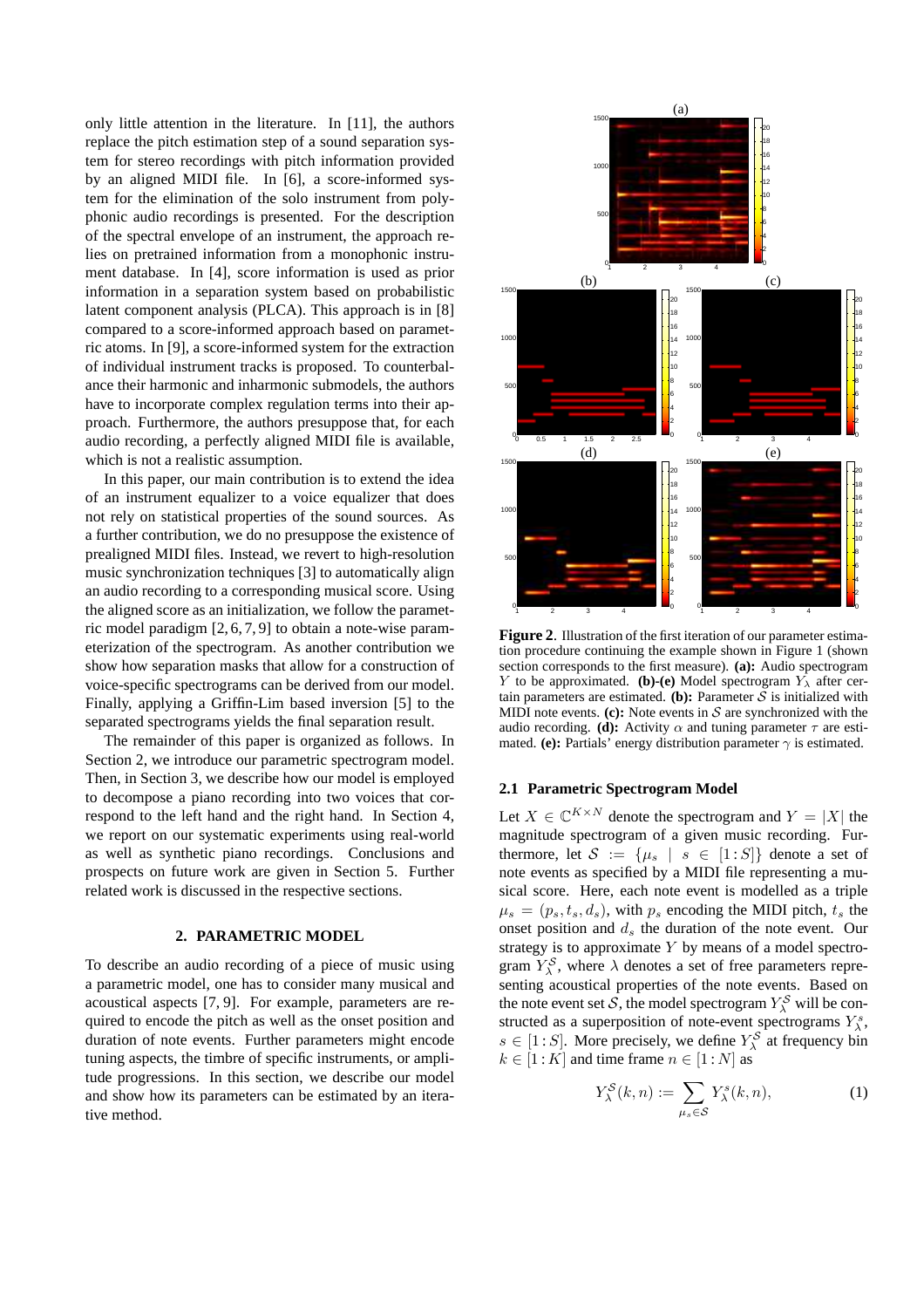only little attention in the literature. In [11], the authors replace the pitch estimation step of a sound separation system for stereo recordings with pitch information provided by an aligned MIDI file. In [6], a score-informed system for the elimination of the solo instrument from polyphonic audio recordings is presented. For the description of the spectral envelope of an instrument, the approach relies on pretrained information from a monophonic instrument database. In [4], score information is used as prior information in a separation system based on probabilistic latent component analysis (PLCA). This approach is in [8] compared to a score-informed approach based on parametric atoms. In [9], a score-informed system for the extraction of individual instrument tracks is proposed. To counterbalance their harmonic and inharmonic submodels, the authors have to incorporate complex regulation terms into their approach. Furthermore, the authors presuppose that, for each audio recording, a perfectly aligned MIDI file is available, which is not a realistic assumption.

In this paper, our main contribution is to extend the idea of an instrument equalizer to a voice equalizer that does not rely on statistical properties of the sound sources. As a further contribution, we do no presuppose the existence of prealigned MIDI files. Instead, we revert to high-resolution music synchronization techniques [3] to automatically align an audio recording to a corresponding musical score. Using the aligned score as an initialization, we follow the parametric model paradigm [2, 6, 7, 9] to obtain a note-wise parameterization of the spectrogram. As another contribution we show how separation masks that allow for a construction of voice-specific spectrograms can be derived from our model. Finally, applying a Griffin-Lim based inversion [5] to the separated spectrograms yields the final separation result.

The remainder of this paper is organized as follows. In Section 2, we introduce our parametric spectrogram model. Then, in Section 3, we describe how our model is employed to decompose a piano recording into two voices that correspond to the left hand and the right hand. In Section 4, we report on our systematic experiments using real-world as well as synthetic piano recordings. Conclusions and prospects on future work are given in Section 5. Further related work is discussed in the respective sections.

#### **2. PARAMETRIC MODEL**

To describe an audio recording of a piece of music using a parametric model, one has to consider many musical and acoustical aspects [7, 9]. For example, parameters are required to encode the pitch as well as the onset position and duration of note events. Further parameters might encode tuning aspects, the timbre of specific instruments, or amplitude progressions. In this section, we describe our model and show how its parameters can be estimated by an iterative method.



**Figure 2**. Illustration of the first iteration of our parameter estimation procedure continuing the example shown in Figure 1 (shown section corresponds to the first measure). **(a):** Audio spectrogram Y to be approximated. **(b)-(e)** Model spectrogram  $Y_{\lambda}$  after certain parameters are estimated. **(b):** Parameter  $S$  is initialized with MIDI note events.  $(c)$ : Note events in  $S$  are synchronized with the audio recording. **(d):** Activity  $\alpha$  and tuning parameter  $\tau$  are estimated. **(e):** Partials' energy distribution parameter  $\gamma$  is estimated.

### **2.1 Parametric Spectrogram Model**

Let  $X \in \mathbb{C}^{K \times N}$  denote the spectrogram and  $Y = |X|$  the magnitude spectrogram of a given music recording. Furthermore, let  $S := \{\mu_s | s \in [1 : S] \}$  denote a set of note events as specified by a MIDI file representing a musical score. Here, each note event is modelled as a triple  $\mu_s = (p_s, t_s, d_s)$ , with  $p_s$  encoding the MIDI pitch,  $t_s$  the onset position and  $d_s$  the duration of the note event. Our strategy is to approximate  $Y$  by means of a model spectrogram  $Y_{\lambda}^{\mathcal{S}}$ , where  $\lambda$  denotes a set of free parameters representing acoustical properties of the note events. Based on the note event set S, the model spectrogram  $Y_{\lambda}^{\mathcal{S}}$  will be constructed as a superposition of note-event spectrograms  $Y^s_\lambda$ ,  $s \in [1: S]$ . More precisely, we define  $Y_{\lambda}^{S}$  at frequency bin  $k \in [1:K]$  and time frame  $n \in [1:N]$  as

$$
Y_{\lambda}^{\mathcal{S}}(k,n) := \sum_{\mu_s \in \mathcal{S}} Y_{\lambda}^s(k,n), \tag{1}
$$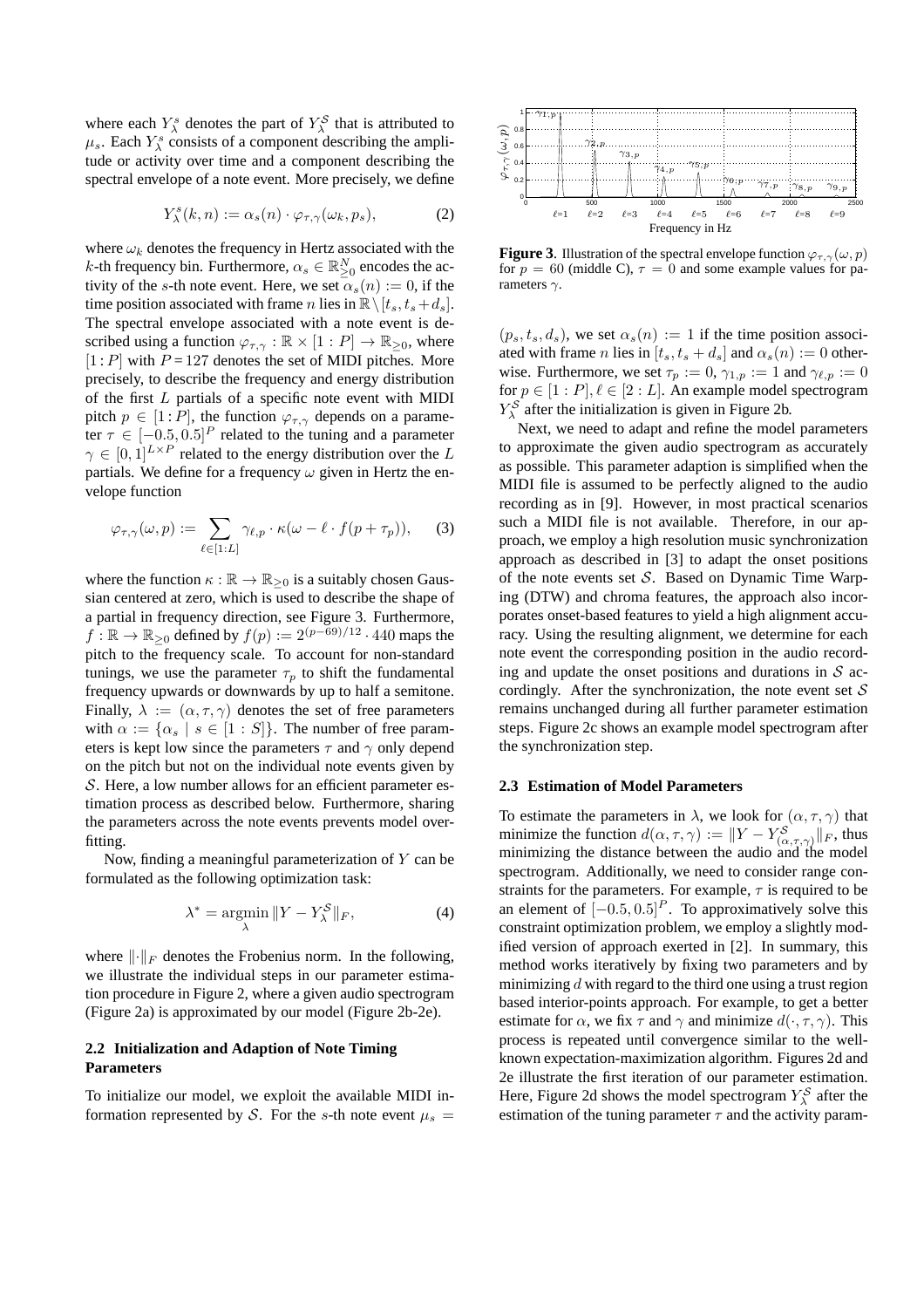where each  $Y_{\lambda}^{s}$  denotes the part of  $Y_{\lambda}^{S}$  that is attributed to  $\mu_s$ . Each  $Y^s_\lambda$  consists of a component describing the amplitude or activity over time and a component describing the spectral envelope of a note event. More precisely, we define

$$
Y_{\lambda}^{s}(k,n) := \alpha_{s}(n) \cdot \varphi_{\tau,\gamma}(\omega_{k},p_{s}), \qquad (2)
$$

where  $\omega_k$  denotes the frequency in Hertz associated with the *k*-th frequency bin. Furthermore,  $\alpha_s \in \mathbb{R}^N_{\geq 0}$  encodes the activity of the s-th note event. Here, we set  $\alpha_s(n) := 0$ , if the time position associated with frame n lies in  $\mathbb{R}\setminus [t_s, t_s+d_s].$ The spectral envelope associated with a note event is described using a function  $\varphi_{\tau,\gamma} : \mathbb{R} \times [1 : P] \to \mathbb{R}_{\geq 0}$ , where  $[1 : P]$  with  $P = 127$  denotes the set of MIDI pitches. More precisely, to describe the frequency and energy distribution of the first L partials of a specific note event with MIDI pitch  $p \in [1 : P]$ , the function  $\varphi_{\tau, \gamma}$  depends on a parameter  $\tau \in [-0.5, 0.5]^P$  related to the tuning and a parameter  $\gamma \in [0,1]^{L \times P}$  related to the energy distribution over the L partials. We define for a frequency  $\omega$  given in Hertz the envelope function

$$
\varphi_{\tau,\gamma}(\omega,p) := \sum_{\ell \in [1:L]} \gamma_{\ell,p} \cdot \kappa(\omega - \ell \cdot f(p + \tau_p)),\tag{3}
$$

where the function  $\kappa : \mathbb{R} \to \mathbb{R}_{\geq 0}$  is a suitably chosen Gaussian centered at zero, which is used to describe the shape of a partial in frequency direction, see Figure 3. Furthermore,  $f: \mathbb{R} \to \mathbb{R}_{\geq 0}$  defined by  $f(p) := 2^{(p-69)/12} \cdot 440$  maps the pitch to the frequency scale. To account for non-standard tunings, we use the parameter  $\tau_p$  to shift the fundamental frequency upwards or downwards by up to half a semitone. Finally,  $\lambda := (\alpha, \tau, \gamma)$  denotes the set of free parameters with  $\alpha := {\alpha_s | s \in [1 : S]}$ . The number of free parameters is kept low since the parameters  $\tau$  and  $\gamma$  only depend on the pitch but not on the individual note events given by  $S$ . Here, a low number allows for an efficient parameter estimation process as described below. Furthermore, sharing the parameters across the note events prevents model overfitting.

Now, finding a meaningful parameterization of  $Y$  can be formulated as the following optimization task:

$$
\lambda^* = \operatorname*{argmin}_{\lambda} \|Y - Y_{\lambda}^{\mathcal{S}}\|_{F},
$$
\n(4)

where  $\lVert \cdot \rVert_F$  denotes the Frobenius norm. In the following, we illustrate the individual steps in our parameter estimation procedure in Figure 2, where a given audio spectrogram (Figure 2a) is approximated by our model (Figure 2b-2e).

## **2.2 Initialization and Adaption of Note Timing Parameters**

To initialize our model, we exploit the available MIDI information represented by S. For the s-th note event  $\mu_s =$ 



**Figure 3.** Illustration of the spectral envelope function  $\varphi_{\tau,\gamma}(\omega, p)$ for  $p = 60$  (middle C),  $\tau = 0$  and some example values for parameters  $\gamma$ .

 $(p_s, t_s, d_s)$ , we set  $\alpha_s(n) := 1$  if the time position associated with frame n lies in  $[t_s, t_s + d_s]$  and  $\alpha_s(n) := 0$  otherwise. Furthermore, we set  $\tau_p := 0$ ,  $\gamma_{1,p} := 1$  and  $\gamma_{\ell,p} := 0$ for  $p \in [1 : P], \ell \in [2 : L]$ . An example model spectrogram  $Y_{\lambda}^{\mathcal{S}}$  after the initialization is given in Figure 2b.

Next, we need to adapt and refine the model parameters to approximate the given audio spectrogram as accurately as possible. This parameter adaption is simplified when the MIDI file is assumed to be perfectly aligned to the audio recording as in [9]. However, in most practical scenarios such a MIDI file is not available. Therefore, in our approach, we employ a high resolution music synchronization approach as described in [3] to adapt the onset positions of the note events set  $S$ . Based on Dynamic Time Warping (DTW) and chroma features, the approach also incorporates onset-based features to yield a high alignment accuracy. Using the resulting alignment, we determine for each note event the corresponding position in the audio recording and update the onset positions and durations in  $S$  accordingly. After the synchronization, the note event set  $S$ remains unchanged during all further parameter estimation steps. Figure 2c shows an example model spectrogram after the synchronization step.

### **2.3 Estimation of Model Parameters**

To estimate the parameters in  $\lambda$ , we look for  $(\alpha, \tau, \gamma)$  that minimize the function  $d(\alpha, \tau, \gamma) := ||Y - Y_{(\alpha, \tau, \gamma)}^{\mathcal{S}}||_F$ , thus minimizing the distance between the audio and the model spectrogram. Additionally, we need to consider range constraints for the parameters. For example,  $\tau$  is required to be an element of  $[-0.5, 0.5]^P$ . To approximatively solve this constraint optimization problem, we employ a slightly modified version of approach exerted in [2]. In summary, this method works iteratively by fixing two parameters and by minimizing  $d$  with regard to the third one using a trust region based interior-points approach. For example, to get a better estimate for  $\alpha$ , we fix  $\tau$  and  $\gamma$  and minimize  $d(\cdot, \tau, \gamma)$ . This process is repeated until convergence similar to the wellknown expectation-maximization algorithm. Figures 2d and 2e illustrate the first iteration of our parameter estimation. Here, Figure 2d shows the model spectrogram  $Y_{\lambda}^{S}$  after the estimation of the tuning parameter  $\tau$  and the activity param-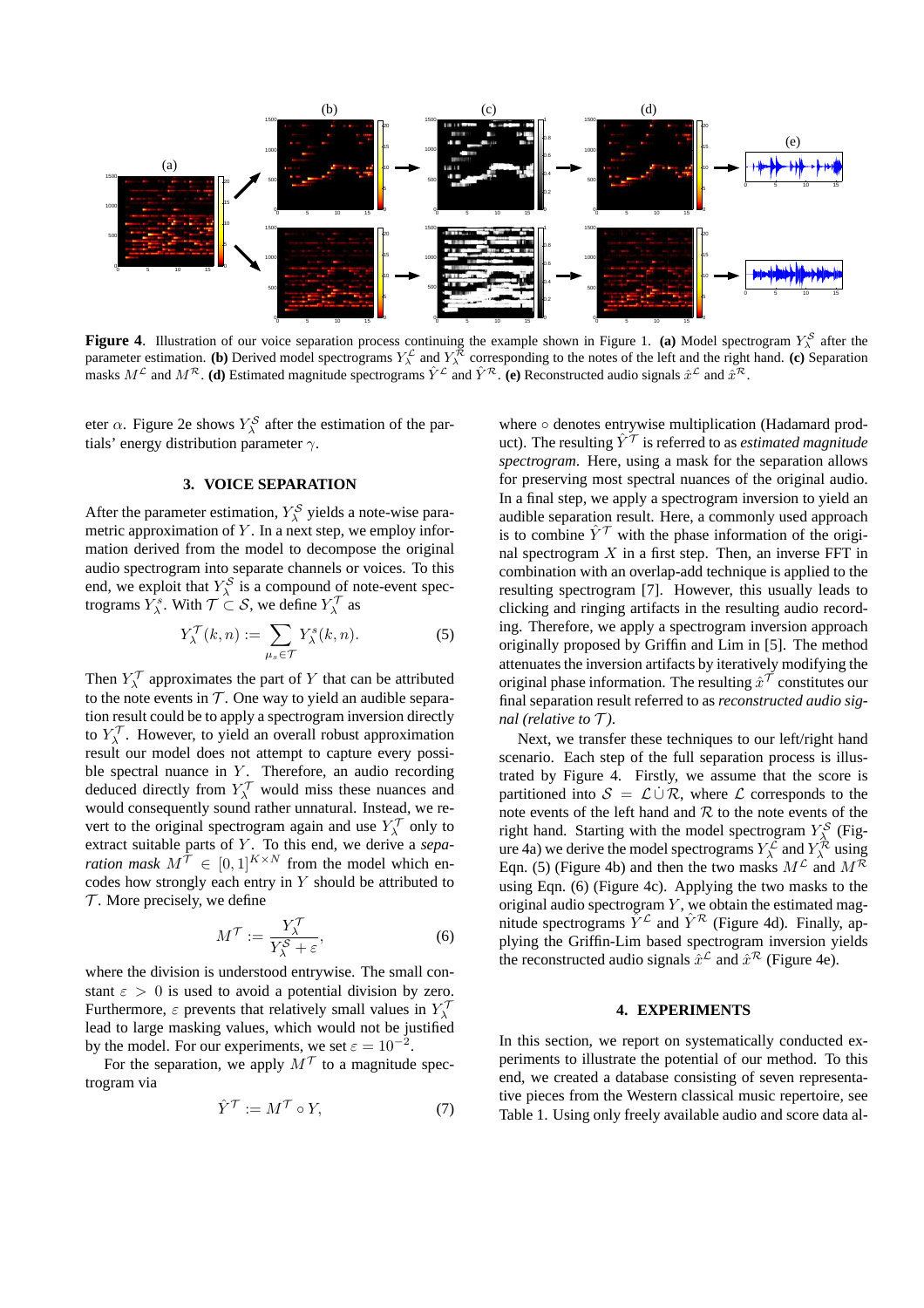

**Figure 4.** Illustration of our voice separation process continuing the example shown in Figure 1. (a) Model spectrogram  $Y^S_\lambda$  after the parameter estimation. **(b)** Derived model spectrograms  $Y_\lambda^{\mathcal{L}}$  and  $Y_\lambda^{\mathcal{R}}$  corresponding to the notes of the left and the right hand. **(c)** Separation masks  $M^{\mathcal{L}}$  and  $M^{\mathcal{R}}$ . (d) Estimated magnitude spectrograms  $\hat{Y}^{\mathcal{L}}$  and  $\hat{Y}^{\mathcal{R}}$ . (e) Reconstructed audio signals  $\hat{x}^{\mathcal{L}}$  and  $\hat{x}^{\mathcal{R}}$ .

eter  $\alpha$ . Figure 2e shows  $Y_{\lambda}^{\mathcal{S}}$  after the estimation of the partials' energy distribution parameter  $\gamma$ .

## **3. VOICE SEPARATION**

After the parameter estimation,  $Y_{\lambda}^{S}$  yields a note-wise parametric approximation of  $Y$ . In a next step, we employ information derived from the model to decompose the original audio spectrogram into separate channels or voices. To this end, we exploit that  $Y_\lambda^S$  is a compound of note-event spectrograms  $Y_{\lambda}^{s}$ . With  $\mathcal{T} \subset \mathcal{S}$ , we define  $Y_{\lambda}^{\mathcal{T}}$  as

$$
Y_{\lambda}^{\mathcal{T}}(k,n) := \sum_{\mu_s \in \mathcal{T}} Y_{\lambda}^s(k,n).
$$
 (5)

Then  $Y_\lambda^\mathcal{T}$  approximates the part of Y that can be attributed to the note events in  $T$ . One way to yield an audible separation result could be to apply a spectrogram inversion directly to  $Y_{\lambda}^{\mathcal{T}}$ . However, to yield an overall robust approximation result our model does not attempt to capture every possible spectral nuance in  $Y$ . Therefore, an audio recording deduced directly from  $Y_\lambda^\mathcal{T}$  would miss these nuances and would consequently sound rather unnatural. Instead, we revert to the original spectrogram again and use  $Y_\lambda^\mathcal{T}$  only to extract suitable parts of Y. To this end, we derive a *separation mask*  $M^{\mathcal{T}} \in [0,1]^{K \times N}$  from the model which encodes how strongly each entry in  $Y$  should be attributed to  $\mathcal T$ . More precisely, we define

$$
M^{\mathcal{T}} := \frac{Y_{\lambda}^{\mathcal{T}}}{Y_{\lambda}^{\mathcal{S}} + \varepsilon},\tag{6}
$$

where the division is understood entrywise. The small constant  $\varepsilon > 0$  is used to avoid a potential division by zero. Furthermore,  $\varepsilon$  prevents that relatively small values in  $Y_\lambda^{\mathcal{T}}$ lead to large masking values, which would not be justified by the model. For our experiments, we set  $\varepsilon = 10^{-2}$ .

For the separation, we apply  $M^{\mathcal{T}}$  to a magnitude spectrogram via

$$
\hat{Y}^{\mathcal{T}} := M^{\mathcal{T}} \circ Y,\tag{7}
$$

where ○ denotes entrywise multiplication (Hadamard product). The resulting  $\hat{Y}^{\mathcal{T}}$  is referred to as *estimated magnitude spectrogram*. Here, using a mask for the separation allows for preserving most spectral nuances of the original audio. In a final step, we apply a spectrogram inversion to yield an audible separation result. Here, a commonly used approach is to combine  $\hat{Y}^{\mathcal{T}}$  with the phase information of the original spectrogram  $X$  in a first step. Then, an inverse FFT in combination with an overlap-add technique is applied to the resulting spectrogram [7]. However, this usually leads to clicking and ringing artifacts in the resulting audio recording. Therefore, we apply a spectrogram inversion approach originally proposed by Griffin and Lim in [5]. The method attenuates the inversion artifacts by iteratively modifying the original phase information. The resulting  $\hat{x}^{\mathcal{T}}$  constitutes our final separation result referred to as *reconstructed audio signal (relative to*  $\mathcal{T}$ *).* 

Next, we transfer these techniques to our left/right hand scenario. Each step of the full separation process is illustrated by Figure 4. Firstly, we assume that the score is partitioned into  $S = \mathcal{L} \cup \mathcal{R}$ , where  $\mathcal{L}$  corresponds to the note events of the left hand and  $R$  to the note events of the right hand. Starting with the model spectrogram  $Y^{\mathcal{S}}_{\lambda}$  (Figure 4a) we derive the model spectrograms  $Y_\lambda^{\mathcal{L}}$  and  $Y_\lambda^{\mathcal{R}}$  using Eqn. (5) (Figure 4b) and then the two masks  $M^{\mathcal{L}}$  and  $M^{\mathcal{R}}$ using Eqn. (6) (Figure 4c). Applying the two masks to the original audio spectrogram  $Y$ , we obtain the estimated magnitude spectrograms  $\tilde{Y}^{\mathcal{L}}$  and  $\hat{Y}^{\mathcal{R}}$  (Figure 4d). Finally, applying the Griffin-Lim based spectrogram inversion yields the reconstructed audio signals  $\hat{x}^{\mathcal{L}}$  and  $\hat{x}^{\mathcal{R}}$  (Figure 4e).

#### **4. EXPERIMENTS**

In this section, we report on systematically conducted experiments to illustrate the potential of our method. To this end, we created a database consisting of seven representative pieces from the Western classical music repertoire, see Table 1. Using only freely available audio and score data al-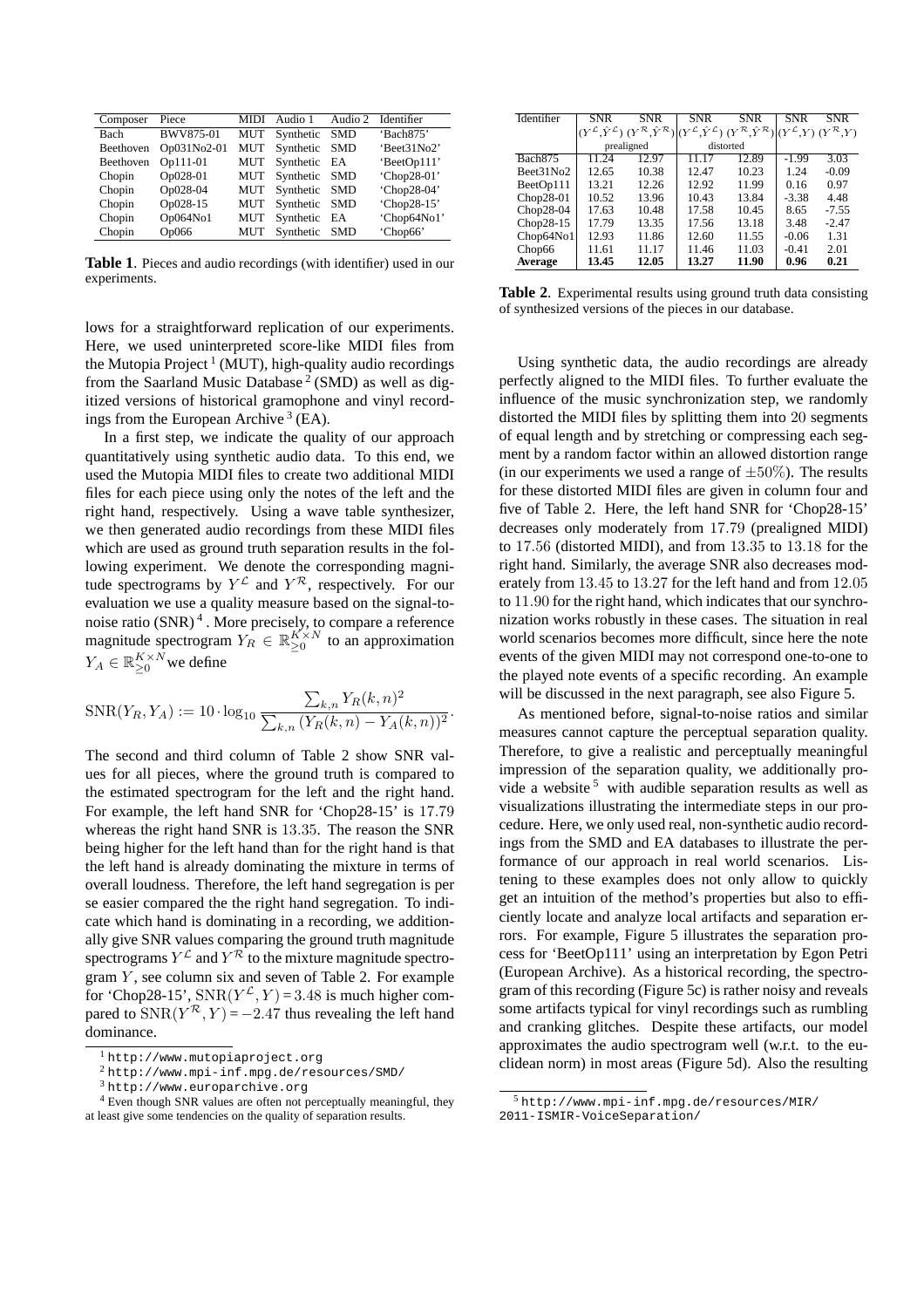| Composer    | Piece       | <b>MIDI</b> | Audio 1       | Audio 2    | Identifier  |
|-------------|-------------|-------------|---------------|------------|-------------|
| <b>Bach</b> | BWV875-01   | <b>MUT</b>  | Synthetic     | SMD        | 'Bach875'   |
| Beethoven   | Op031No2-01 | <b>MUT</b>  | Synthetic     | <b>SMD</b> | 'Beet31No2' |
| Beethoven   | Op111-01    | <b>MUT</b>  | Synthetic     | EA         | 'BeetOp111' |
| Chopin      | Op028-01    | <b>MUT</b>  | Synthetic SMD |            | 'Chop28-01' |
| Chopin      | Op028-04    | <b>MUT</b>  | Synthetic SMD |            | 'Chop28-04' |
| Chopin      | Op028-15    | <b>MUT</b>  | Synthetic     | <b>SMD</b> | 'Chop28-15' |
| Chopin      | Op064No1    | <b>MUT</b>  | Synthetic     | EA         | 'Chop64No1' |
| Chopin      | Op066       | MUT         | Synthetic     | <b>SMD</b> | 'Chop66'    |

**Table 1**. Pieces and audio recordings (with identifier) used in our experiments.

lows for a straightforward replication of our experiments. Here, we used uninterpreted score-like MIDI files from the Mutopia Project<sup>1</sup> (MUT), high-quality audio recordings from the Saarland Music Database<sup>2</sup> (SMD) as well as digitized versions of historical gramophone and vinyl recordings from the European Archive<sup>3</sup> (EA).

In a first step, we indicate the quality of our approach quantitatively using synthetic audio data. To this end, we used the Mutopia MIDI files to create two additional MIDI files for each piece using only the notes of the left and the right hand, respectively. Using a wave table synthesizer, we then generated audio recordings from these MIDI files which are used as ground truth separation results in the following experiment. We denote the corresponding magnitude spectrograms by  $Y^{\mathcal{L}}$  and  $Y^{\mathcal{R}}$ , respectively. For our evaluation we use a quality measure based on the signal-tonoise ratio  $(SNR)^4$ . More precisely, to compare a reference magnitude spectrogram  $Y_R \in \mathbb{R}_{\geq 0}^{K \times N}$  to an approximation  $Y_A \in \mathbb{R}_{\geq 0}^{K \times N}$  we define

$$
SNR(Y_R, Y_A) := 10 \cdot \log_{10} \frac{\sum_{k,n} Y_R(k,n)^2}{\sum_{k,n} (Y_R(k,n) - Y_A(k,n))^2}.
$$

The second and third column of Table 2 show SNR values for all pieces, where the ground truth is compared to the estimated spectrogram for the left and the right hand. For example, the left hand SNR for 'Chop28-15' is 17.79 whereas the right hand SNR is 13.35. The reason the SNR being higher for the left hand than for the right hand is that the left hand is already dominating the mixture in terms of overall loudness. Therefore, the left hand segregation is per se easier compared the the right hand segregation. To indicate which hand is dominating in a recording, we additionally give SNR values comparing the ground truth magnitude spectrograms  $Y^{\mathcal{L}}$  and  $Y^{\mathcal{R}}$  to the mixture magnitude spectrogram  $\overline{Y}$ , see column six and seven of Table 2. For example for 'Chop28-15',  $SNR(Y^{\mathcal{L}}, Y) = 3.48$  is much higher compared to  $SNR(Y^R, Y) = -2.47$  thus revealing the left hand dominance.

| Identifier          | <b>SNR</b>                                 | <b>SNR</b>                                 | <b>SNR</b> | <b>SNR</b>                                                                            | <b>SNR</b> | <b>SNR</b>                             |
|---------------------|--------------------------------------------|--------------------------------------------|------------|---------------------------------------------------------------------------------------|------------|----------------------------------------|
|                     | $(Y^{\mathcal{L}}, \hat{Y}^{\mathcal{L}})$ | $(Y^{\mathcal{R}}, \hat{Y}^{\mathcal{R}})$ |            | $(Y^{\mathcal{L}}, \hat{Y}^{\mathcal{L}})$ $(Y^{\mathcal{R}}, \hat{Y}^{\mathcal{R}})$ |            | $(Y^{\mathcal{L}}Y)(Y^{\mathcal{R}}Y)$ |
|                     | prealigned                                 |                                            | distorted  |                                                                                       |            |                                        |
| Bach <sub>875</sub> | 11.24                                      | 12.97                                      | 11 17      | 12.89                                                                                 | $-1.99$    | 3.03                                   |
| Beet31No2           | 12.65                                      | 10.38                                      | 12.47      | 10.23                                                                                 | 1.24       | $-0.09$                                |
| BeetOp111           | 13.21                                      | 12.26                                      | 12.92      | 11.99                                                                                 | 0.16       | 0.97                                   |
| Chop28-01           | 10.52                                      | 13.96                                      | 10.43      | 13.84                                                                                 | $-3.38$    | 4.48                                   |
| $Chop28-04$         | 17.63                                      | 10.48                                      | 17.58      | 10.45                                                                                 | 8.65       | $-7.55$                                |
| $Chop28-15$         | 17.79                                      | 13.35                                      | 17.56      | 13.18                                                                                 | 3.48       | $-2.47$                                |
| Chop64No1           | 12.93                                      | 11.86                                      | 12.60      | 11.55                                                                                 | $-0.06$    | 1.31                                   |
| Chop66              | 11.61                                      | 11.17                                      | 11.46      | 11.03                                                                                 | $-0.41$    | 2.01                                   |
| <b>Average</b>      | 13.45                                      | 12.05                                      | 13.27      | 11.90                                                                                 | 0.96       | 0.21                                   |

**Table 2**. Experimental results using ground truth data consisting of synthesized versions of the pieces in our database.

Using synthetic data, the audio recordings are already perfectly aligned to the MIDI files. To further evaluate the influence of the music synchronization step, we randomly distorted the MIDI files by splitting them into 20 segments of equal length and by stretching or compressing each segment by a random factor within an allowed distortion range (in our experiments we used a range of  $\pm 50\%$ ). The results for these distorted MIDI files are given in column four and five of Table 2. Here, the left hand SNR for 'Chop28-15' decreases only moderately from 17.79 (prealigned MIDI) to 17.56 (distorted MIDI), and from 13.35 to 13.18 for the right hand. Similarly, the average SNR also decreases moderately from 13.45 to 13.27 for the left hand and from 12.05 to 11.90 for the right hand, which indicates that our synchronization works robustly in these cases. The situation in real world scenarios becomes more difficult, since here the note events of the given MIDI may not correspond one-to-one to the played note events of a specific recording. An example will be discussed in the next paragraph, see also Figure 5.

As mentioned before, signal-to-noise ratios and similar measures cannot capture the perceptual separation quality. Therefore, to give a realistic and perceptually meaningful impression of the separation quality, we additionally provide a website<sup>5</sup> with audible separation results as well as visualizations illustrating the intermediate steps in our procedure. Here, we only used real, non-synthetic audio recordings from the SMD and EA databases to illustrate the performance of our approach in real world scenarios. Listening to these examples does not only allow to quickly get an intuition of the method's properties but also to efficiently locate and analyze local artifacts and separation errors. For example, Figure 5 illustrates the separation process for 'BeetOp111' using an interpretation by Egon Petri (European Archive). As a historical recording, the spectrogram of this recording (Figure 5c) is rather noisy and reveals some artifacts typical for vinyl recordings such as rumbling and cranking glitches. Despite these artifacts, our model approximates the audio spectrogram well (w.r.t. to the euclidean norm) in most areas (Figure 5d). Also the resulting

<sup>1</sup> http://www.mutopiaproject.org

<sup>2</sup> http://www.mpi-inf.mpg.de/resources/SMD/

<sup>3</sup> http://www.europarchive.org

<sup>&</sup>lt;sup>4</sup> Even though SNR values are often not perceptually meaningful, they at least give some tendencies on the quality of separation results.

<sup>5</sup> http://www.mpi-inf.mpg.de/resources/MIR/ 2011-ISMIR-VoiceSeparation/